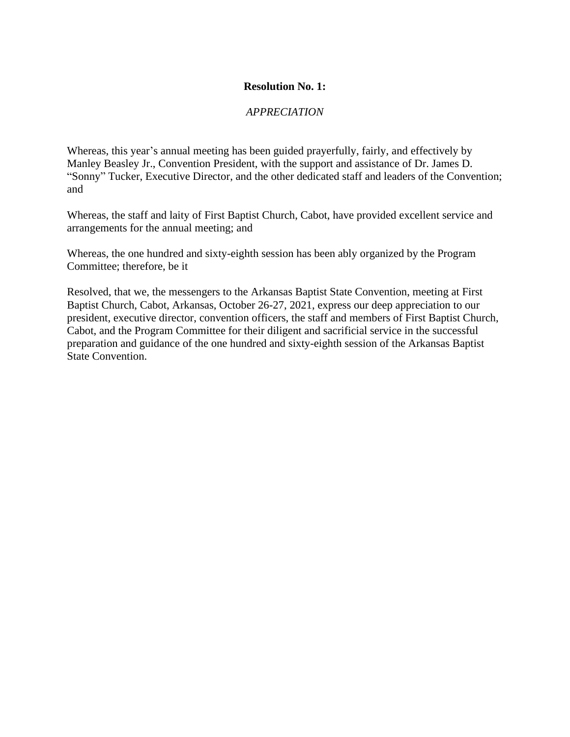#### *APPRECIATION*

Whereas, this year's annual meeting has been guided prayerfully, fairly, and effectively by Manley Beasley Jr., Convention President, with the support and assistance of Dr. James D. "Sonny" Tucker, Executive Director, and the other dedicated staff and leaders of the Convention; and

Whereas, the staff and laity of First Baptist Church, Cabot, have provided excellent service and arrangements for the annual meeting; and

Whereas, the one hundred and sixty-eighth session has been ably organized by the Program Committee; therefore, be it

Resolved, that we, the messengers to the Arkansas Baptist State Convention, meeting at First Baptist Church, Cabot, Arkansas, October 26-27, 2021, express our deep appreciation to our president, executive director, convention officers, the staff and members of First Baptist Church, Cabot, and the Program Committee for their diligent and sacrificial service in the successful preparation and guidance of the one hundred and sixty-eighth session of the Arkansas Baptist State Convention.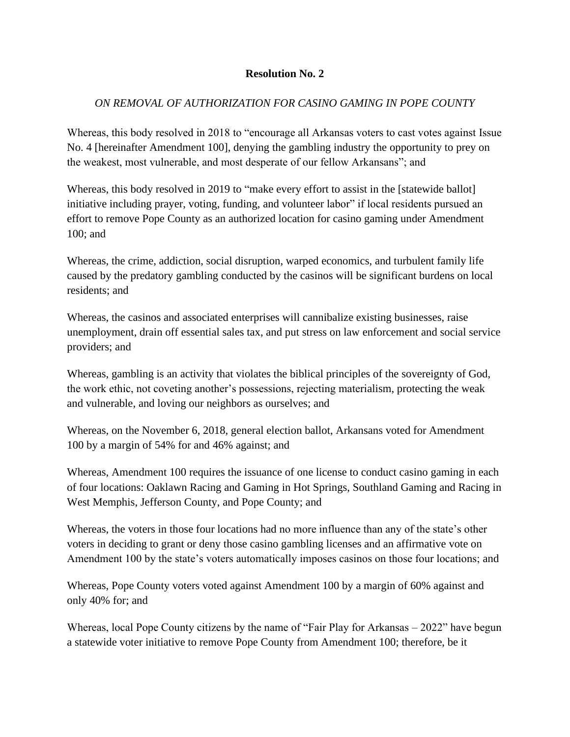## *ON REMOVAL OF AUTHORIZATION FOR CASINO GAMING IN POPE COUNTY*

Whereas, this body resolved in 2018 to "encourage all Arkansas voters to cast votes against Issue No. 4 [hereinafter Amendment 100], denying the gambling industry the opportunity to prey on the weakest, most vulnerable, and most desperate of our fellow Arkansans"; and

Whereas, this body resolved in 2019 to "make every effort to assist in the [statewide ballot] initiative including prayer, voting, funding, and volunteer labor" if local residents pursued an effort to remove Pope County as an authorized location for casino gaming under Amendment 100; and

Whereas, the crime, addiction, social disruption, warped economics, and turbulent family life caused by the predatory gambling conducted by the casinos will be significant burdens on local residents; and

Whereas, the casinos and associated enterprises will cannibalize existing businesses, raise unemployment, drain off essential sales tax, and put stress on law enforcement and social service providers; and

Whereas, gambling is an activity that violates the biblical principles of the sovereignty of God, the work ethic, not coveting another's possessions, rejecting materialism, protecting the weak and vulnerable, and loving our neighbors as ourselves; and

Whereas, on the November 6, 2018, general election ballot, Arkansans voted for Amendment 100 by a margin of 54% for and 46% against; and

Whereas, Amendment 100 requires the issuance of one license to conduct casino gaming in each of four locations: Oaklawn Racing and Gaming in Hot Springs, Southland Gaming and Racing in West Memphis, Jefferson County, and Pope County; and

Whereas, the voters in those four locations had no more influence than any of the state's other voters in deciding to grant or deny those casino gambling licenses and an affirmative vote on Amendment 100 by the state's voters automatically imposes casinos on those four locations; and

Whereas, Pope County voters voted against Amendment 100 by a margin of 60% against and only 40% for; and

Whereas, local Pope County citizens by the name of "Fair Play for Arkansas – 2022" have begun a statewide voter initiative to remove Pope County from Amendment 100; therefore, be it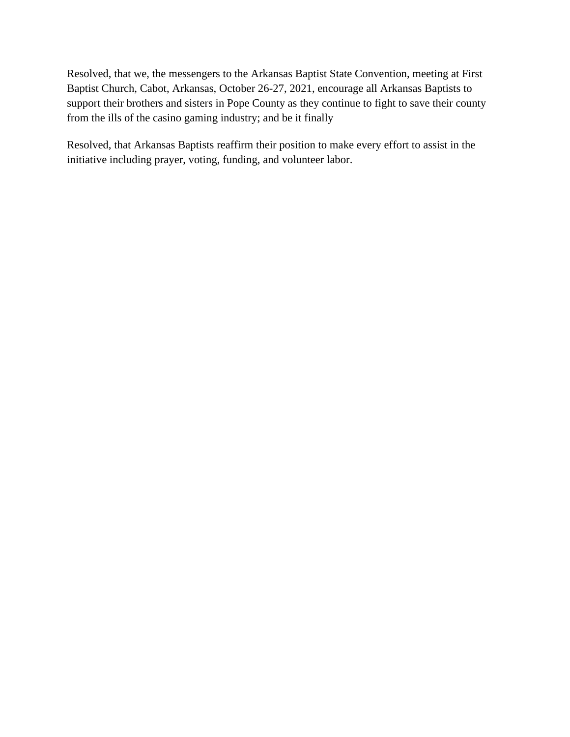Resolved, that we, the messengers to the Arkansas Baptist State Convention, meeting at First Baptist Church, Cabot, Arkansas, October 26-27, 2021, encourage all Arkansas Baptists to support their brothers and sisters in Pope County as they continue to fight to save their county from the ills of the casino gaming industry; and be it finally

Resolved, that Arkansas Baptists reaffirm their position to make every effort to assist in the initiative including prayer, voting, funding, and volunteer labor.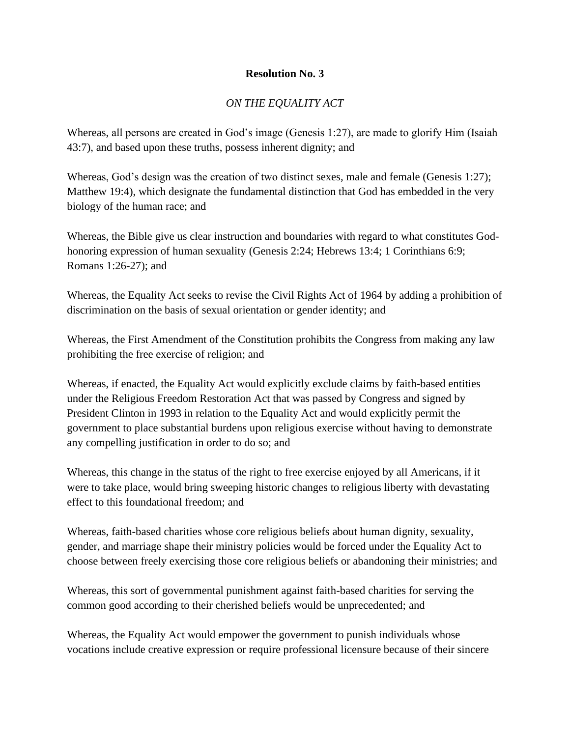# *ON THE EQUALITY ACT*

Whereas, all persons are created in God's image (Genesis 1:27), are made to glorify Him (Isaiah 43:7), and based upon these truths, possess inherent dignity; and

Whereas, God's design was the creation of two distinct sexes, male and female (Genesis 1:27); Matthew 19:4), which designate the fundamental distinction that God has embedded in the very biology of the human race; and

Whereas, the Bible give us clear instruction and boundaries with regard to what constitutes Godhonoring expression of human sexuality (Genesis 2:24; Hebrews 13:4; 1 Corinthians 6:9; Romans 1:26-27); and

Whereas, the Equality Act seeks to revise the Civil Rights Act of 1964 by adding a prohibition of discrimination on the basis of sexual orientation or gender identity; and

Whereas, the First Amendment of the Constitution prohibits the Congress from making any law prohibiting the free exercise of religion; and

Whereas, if enacted, the Equality Act would explicitly exclude claims by faith-based entities under the Religious Freedom Restoration Act that was passed by Congress and signed by President Clinton in 1993 in relation to the Equality Act and would explicitly permit the government to place substantial burdens upon religious exercise without having to demonstrate any compelling justification in order to do so; and

Whereas, this change in the status of the right to free exercise enjoyed by all Americans, if it were to take place, would bring sweeping historic changes to religious liberty with devastating effect to this foundational freedom; and

Whereas, faith-based charities whose core religious beliefs about human dignity, sexuality, gender, and marriage shape their ministry policies would be forced under the Equality Act to choose between freely exercising those core religious beliefs or abandoning their ministries; and

Whereas, this sort of governmental punishment against faith-based charities for serving the common good according to their cherished beliefs would be unprecedented; and

Whereas, the Equality Act would empower the government to punish individuals whose vocations include creative expression or require professional licensure because of their sincere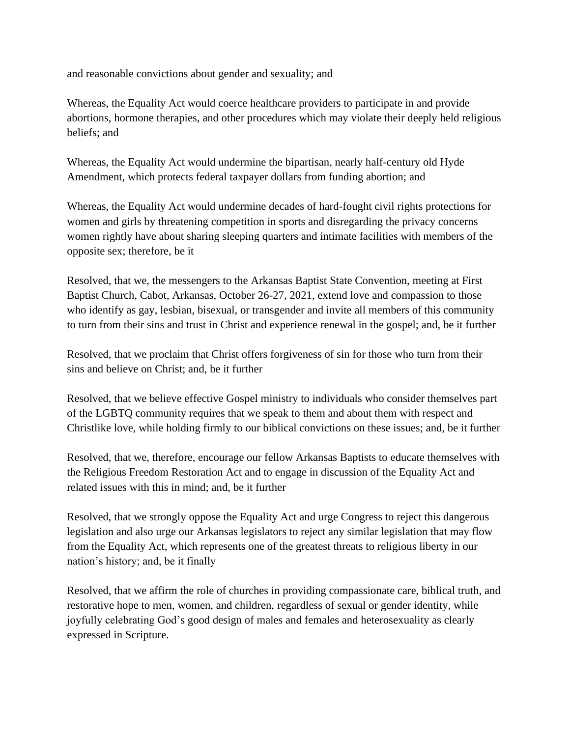and reasonable convictions about gender and sexuality; and

Whereas, the Equality Act would coerce healthcare providers to participate in and provide abortions, hormone therapies, and other procedures which may violate their deeply held religious beliefs; and

Whereas, the Equality Act would undermine the bipartisan, nearly half-century old Hyde Amendment, which protects federal taxpayer dollars from funding abortion; and

Whereas, the Equality Act would undermine decades of hard-fought civil rights protections for women and girls by threatening competition in sports and disregarding the privacy concerns women rightly have about sharing sleeping quarters and intimate facilities with members of the opposite sex; therefore, be it

Resolved, that we, the messengers to the Arkansas Baptist State Convention, meeting at First Baptist Church, Cabot, Arkansas, October 26-27, 2021, extend love and compassion to those who identify as gay, lesbian, bisexual, or transgender and invite all members of this community to turn from their sins and trust in Christ and experience renewal in the gospel; and, be it further

Resolved, that we proclaim that Christ offers forgiveness of sin for those who turn from their sins and believe on Christ; and, be it further

Resolved, that we believe effective Gospel ministry to individuals who consider themselves part of the LGBTQ community requires that we speak to them and about them with respect and Christlike love, while holding firmly to our biblical convictions on these issues; and, be it further

Resolved, that we, therefore, encourage our fellow Arkansas Baptists to educate themselves with the Religious Freedom Restoration Act and to engage in discussion of the Equality Act and related issues with this in mind; and, be it further

Resolved, that we strongly oppose the Equality Act and urge Congress to reject this dangerous legislation and also urge our Arkansas legislators to reject any similar legislation that may flow from the Equality Act, which represents one of the greatest threats to religious liberty in our nation's history; and, be it finally

Resolved, that we affirm the role of churches in providing compassionate care, biblical truth, and restorative hope to men, women, and children, regardless of sexual or gender identity, while joyfully celebrating God's good design of males and females and heterosexuality as clearly expressed in Scripture.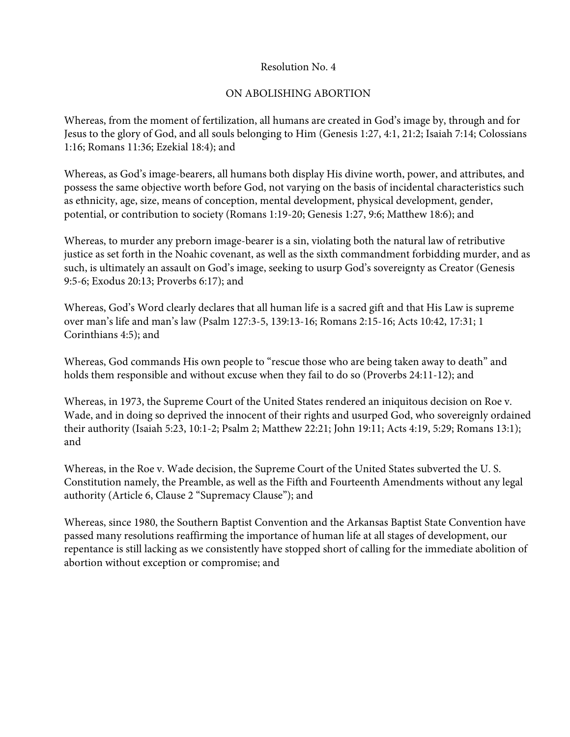# ON ABOLISHING ABORTION

Whereas, from the moment of fertilization, all humans are created in God's image by, through and for Jesus to the glory of God, and all souls belonging to Him (Genesis 1:27, 4:1, 21:2; Isaiah 7:14; Colossians 1:16; Romans 11:36; Ezekial 18:4); and

Whereas, as God's image-bearers, all humans both display His divine worth, power, and attributes, and possess the same objective worth before God, not varying on the basis of incidental characteristics such as ethnicity, age, size, means of conception, mental development, physical development, gender, potential, or contribution to society (Romans 1:19-20; Genesis 1:27, 9:6; Matthew 18:6); and

Whereas, to murder any preborn image-bearer is a sin, violating both the natural law of retributive justice as set forth in the Noahic covenant, as well as the sixth commandment forbidding murder, and as such, is ultimately an assault on God's image, seeking to usurp God's sovereignty as Creator (Genesis 9:5-6; Exodus 20:13; Proverbs 6:17); and

Whereas, God's Word clearly declares that all human life is a sacred gift and that His Law is supreme over man's life and man's law (Psalm 127:3-5, 139:13-16; Romans 2:15-16; Acts 10:42, 17:31; 1 Corinthians 4:5); and

Whereas, God commands His own people to "rescue those who are being taken away to death" and holds them responsible and without excuse when they fail to do so (Proverbs 24:11-12); and

Whereas, in 1973, the Supreme Court of the United States rendered an iniquitous decision on Roe v. Wade, and in doing so deprived the innocent of their rights and usurped God, who sovereignly ordained their authority (Isaiah 5:23, 10:1-2; Psalm 2; Matthew 22:21; John 19:11; Acts 4:19, 5:29; Romans 13:1); and

Whereas, in the Roe v. Wade decision, the Supreme Court of the United States subverted the U. S. Constitution namely, the Preamble, as well as the Fifth and Fourteenth Amendments without any legal authority (Article 6, Clause 2 "Supremacy Clause"); and

Whereas, since 1980, the Southern Baptist Convention and the Arkansas Baptist State Convention have passed many resolutions reaffirming the importance of human life at all stages of development, our repentance is still lacking as we consistently have stopped short of calling for the immediate abolition of abortion without exception or compromise; and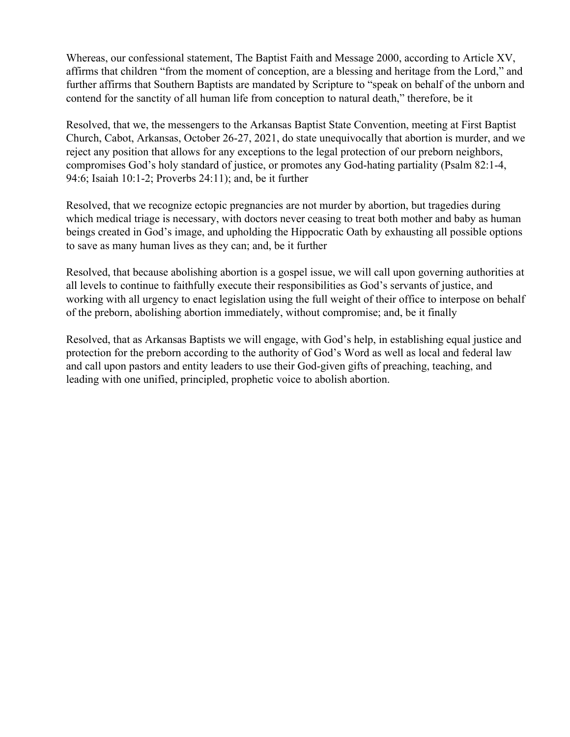Whereas, our confessional statement, The Baptist Faith and Message 2000, according to Article XV, affirms that children "from the moment of conception, are a blessing and heritage from the Lord," and further affirms that Southern Baptists are mandated by Scripture to "speak on behalf of the unborn and contend for the sanctity of all human life from conception to natural death," therefore, be it

Resolved, that we, the messengers to the Arkansas Baptist State Convention, meeting at First Baptist Church, Cabot, Arkansas, October 26-27, 2021, do state unequivocally that abortion is murder, and we reject any position that allows for any exceptions to the legal protection of our preborn neighbors, compromises God's holy standard of justice, or promotes any God-hating partiality (Psalm 82:1-4, 94:6; Isaiah 10:1-2; Proverbs 24:11); and, be it further

Resolved, that we recognize ectopic pregnancies are not murder by abortion, but tragedies during which medical triage is necessary, with doctors never ceasing to treat both mother and baby as human beings created in God's image, and upholding the Hippocratic Oath by exhausting all possible options to save as many human lives as they can; and, be it further

Resolved, that because abolishing abortion is a gospel issue, we will call upon governing authorities at all levels to continue to faithfully execute their responsibilities as God's servants of justice, and working with all urgency to enact legislation using the full weight of their office to interpose on behalf of the preborn, abolishing abortion immediately, without compromise; and, be it finally

Resolved, that as Arkansas Baptists we will engage, with God's help, in establishing equal justice and protection for the preborn according to the authority of God's Word as well as local and federal law and call upon pastors and entity leaders to use their God-given gifts of preaching, teaching, and leading with one unified, principled, prophetic voice to abolish abortion.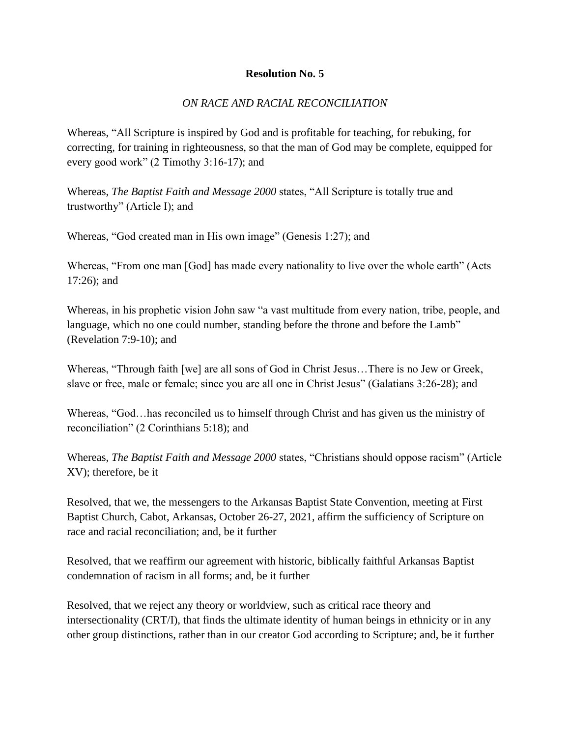## *ON RACE AND RACIAL RECONCILIATION*

Whereas, "All Scripture is inspired by God and is profitable for teaching, for rebuking, for correcting, for training in righteousness, so that the man of God may be complete, equipped for every good work" (2 Timothy 3:16-17); and

Whereas, *The Baptist Faith and Message 2000* states, "All Scripture is totally true and trustworthy" (Article I); and

Whereas, "God created man in His own image" (Genesis 1:27); and

Whereas, "From one man [God] has made every nationality to live over the whole earth" (Acts 17:26); and

Whereas, in his prophetic vision John saw "a vast multitude from every nation, tribe, people, and language, which no one could number, standing before the throne and before the Lamb" (Revelation 7:9-10); and

Whereas, "Through faith [we] are all sons of God in Christ Jesus…There is no Jew or Greek, slave or free, male or female; since you are all one in Christ Jesus" (Galatians 3:26-28); and

Whereas, "God…has reconciled us to himself through Christ and has given us the ministry of reconciliation" (2 Corinthians 5:18); and

Whereas, *The Baptist Faith and Message 2000* states, "Christians should oppose racism" (Article XV); therefore, be it

Resolved, that we, the messengers to the Arkansas Baptist State Convention, meeting at First Baptist Church, Cabot, Arkansas, October 26-27, 2021, affirm the sufficiency of Scripture on race and racial reconciliation; and, be it further

Resolved, that we reaffirm our agreement with historic, biblically faithful Arkansas Baptist condemnation of racism in all forms; and, be it further

Resolved, that we reject any theory or worldview, such as critical race theory and intersectionality (CRT/I), that finds the ultimate identity of human beings in ethnicity or in any other group distinctions, rather than in our creator God according to Scripture; and, be it further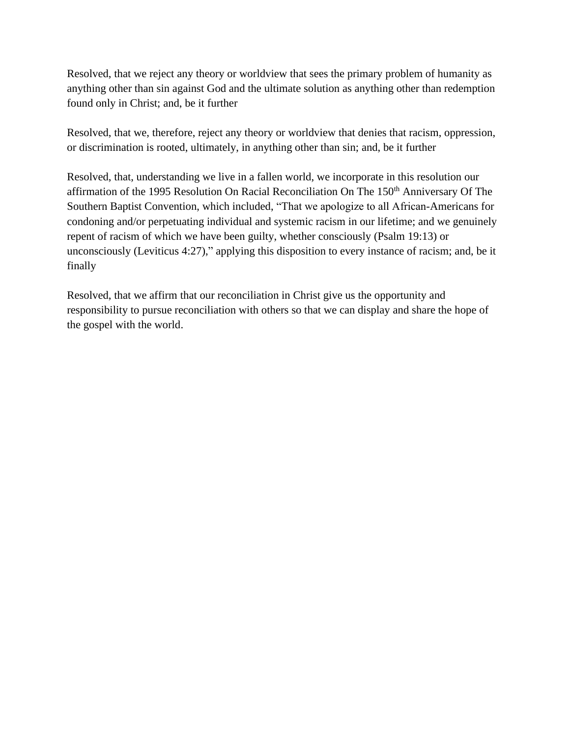Resolved, that we reject any theory or worldview that sees the primary problem of humanity as anything other than sin against God and the ultimate solution as anything other than redemption found only in Christ; and, be it further

Resolved, that we, therefore, reject any theory or worldview that denies that racism, oppression, or discrimination is rooted, ultimately, in anything other than sin; and, be it further

Resolved, that, understanding we live in a fallen world, we incorporate in this resolution our affirmation of the 1995 Resolution On Racial Reconciliation On The 150<sup>th</sup> Anniversary Of The Southern Baptist Convention, which included, "That we apologize to all African-Americans for condoning and/or perpetuating individual and systemic racism in our lifetime; and we genuinely repent of racism of which we have been guilty, whether consciously (Psalm 19:13) or unconsciously (Leviticus 4:27)," applying this disposition to every instance of racism; and, be it finally

Resolved, that we affirm that our reconciliation in Christ give us the opportunity and responsibility to pursue reconciliation with others so that we can display and share the hope of the gospel with the world.